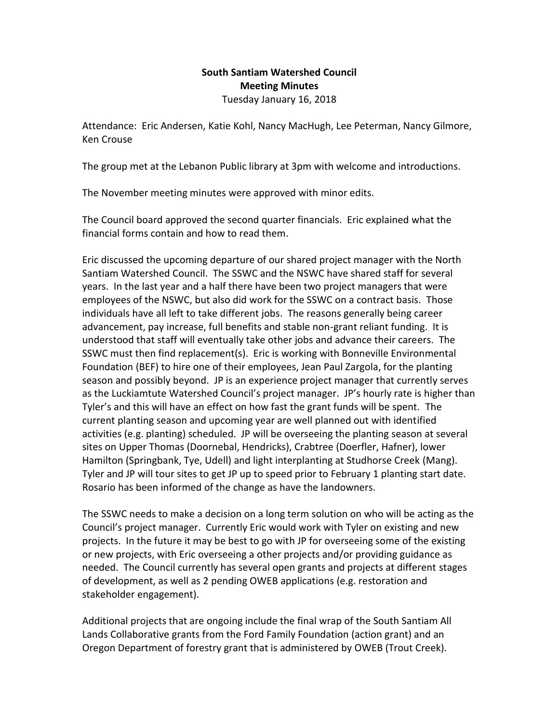## **South Santiam Watershed Council Meeting Minutes** Tuesday January 16, 2018

Attendance: Eric Andersen, Katie Kohl, Nancy MacHugh, Lee Peterman, Nancy Gilmore, Ken Crouse

The group met at the Lebanon Public library at 3pm with welcome and introductions.

The November meeting minutes were approved with minor edits.

The Council board approved the second quarter financials. Eric explained what the financial forms contain and how to read them.

Eric discussed the upcoming departure of our shared project manager with the North Santiam Watershed Council. The SSWC and the NSWC have shared staff for several years. In the last year and a half there have been two project managers that were employees of the NSWC, but also did work for the SSWC on a contract basis. Those individuals have all left to take different jobs. The reasons generally being career advancement, pay increase, full benefits and stable non-grant reliant funding. It is understood that staff will eventually take other jobs and advance their careers. The SSWC must then find replacement(s). Eric is working with Bonneville Environmental Foundation (BEF) to hire one of their employees, Jean Paul Zargola, for the planting season and possibly beyond. JP is an experience project manager that currently serves as the Luckiamtute Watershed Council's project manager. JP's hourly rate is higher than Tyler's and this will have an effect on how fast the grant funds will be spent. The current planting season and upcoming year are well planned out with identified activities (e.g. planting) scheduled. JP will be overseeing the planting season at several sites on Upper Thomas (Doornebal, Hendricks), Crabtree (Doerfler, Hafner), lower Hamilton (Springbank, Tye, Udell) and light interplanting at Studhorse Creek (Mang). Tyler and JP will tour sites to get JP up to speed prior to February 1 planting start date. Rosario has been informed of the change as have the landowners.

The SSWC needs to make a decision on a long term solution on who will be acting as the Council's project manager. Currently Eric would work with Tyler on existing and new projects. In the future it may be best to go with JP for overseeing some of the existing or new projects, with Eric overseeing a other projects and/or providing guidance as needed. The Council currently has several open grants and projects at different stages of development, as well as 2 pending OWEB applications (e.g. restoration and stakeholder engagement).

Additional projects that are ongoing include the final wrap of the South Santiam All Lands Collaborative grants from the Ford Family Foundation (action grant) and an Oregon Department of forestry grant that is administered by OWEB (Trout Creek).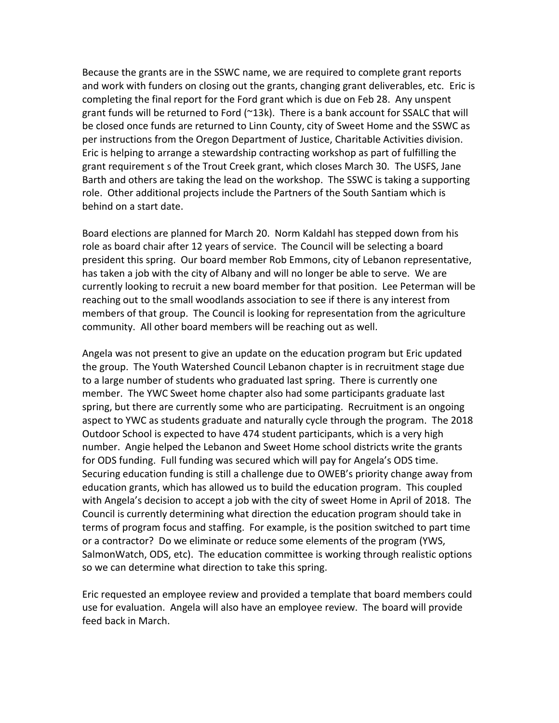Because the grants are in the SSWC name, we are required to complete grant reports and work with funders on closing out the grants, changing grant deliverables, etc. Eric is completing the final report for the Ford grant which is due on Feb 28. Any unspent grant funds will be returned to Ford (~13k). There is a bank account for SSALC that will be closed once funds are returned to Linn County, city of Sweet Home and the SSWC as per instructions from the Oregon Department of Justice, Charitable Activities division. Eric is helping to arrange a stewardship contracting workshop as part of fulfilling the grant requirement s of the Trout Creek grant, which closes March 30. The USFS, Jane Barth and others are taking the lead on the workshop. The SSWC is taking a supporting role. Other additional projects include the Partners of the South Santiam which is behind on a start date.

Board elections are planned for March 20. Norm Kaldahl has stepped down from his role as board chair after 12 years of service. The Council will be selecting a board president this spring. Our board member Rob Emmons, city of Lebanon representative, has taken a job with the city of Albany and will no longer be able to serve. We are currently looking to recruit a new board member for that position. Lee Peterman will be reaching out to the small woodlands association to see if there is any interest from members of that group. The Council is looking for representation from the agriculture community. All other board members will be reaching out as well.

Angela was not present to give an update on the education program but Eric updated the group. The Youth Watershed Council Lebanon chapter is in recruitment stage due to a large number of students who graduated last spring. There is currently one member. The YWC Sweet home chapter also had some participants graduate last spring, but there are currently some who are participating. Recruitment is an ongoing aspect to YWC as students graduate and naturally cycle through the program. The 2018 Outdoor School is expected to have 474 student participants, which is a very high number. Angie helped the Lebanon and Sweet Home school districts write the grants for ODS funding. Full funding was secured which will pay for Angela's ODS time. Securing education funding is still a challenge due to OWEB's priority change away from education grants, which has allowed us to build the education program. This coupled with Angela's decision to accept a job with the city of sweet Home in April of 2018. The Council is currently determining what direction the education program should take in terms of program focus and staffing. For example, is the position switched to part time or a contractor? Do we eliminate or reduce some elements of the program (YWS, SalmonWatch, ODS, etc). The education committee is working through realistic options so we can determine what direction to take this spring.

Eric requested an employee review and provided a template that board members could use for evaluation. Angela will also have an employee review. The board will provide feed back in March.